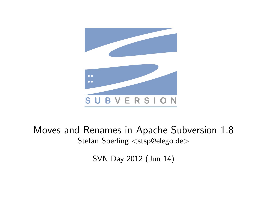

#### <span id="page-0-0"></span>Moves and Renames in Apache Subversion 1.8 Stefan Sperling <stsp@elego.de>

SVN Day 2012 (Jun 14)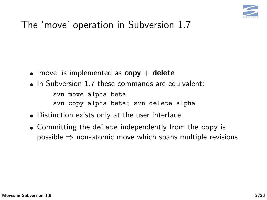

- 'move' is implemented as  $copy + delete$
- In Subversion 1.7 these commands are equivalent: svn move alpha beta svn copy alpha beta; svn delete alpha
- Distinction exists only at the user interface.
- Committing the delete independently from the copy is  $possible \Rightarrow non-atomic$  move which spans multiple revisions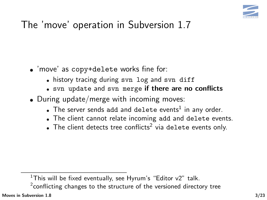

- 'move' as copy+delete works fine for:
	- history tracing during svn log and svn diff
	- . svn update and svn merge if there are no conflicts
- During update/merge with incoming moves:
	- The server sends add and delete events $1$  in any order.
	- The client cannot relate incoming add and delete events.
	- The client detects tree conflicts<sup>2</sup> via delete events only.

 $2$ conflicting changes to the structure of the versioned directory tree

<sup>&</sup>lt;sup>1</sup>This will be fixed eventually, see Hyrum's "Editor  $v2$ " talk.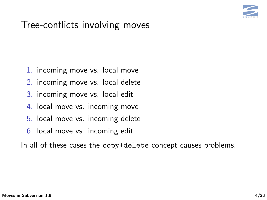

#### Tree-conflicts involving moves

- 1. incoming move vs. local move
- 2. incoming move vs. local delete
- 3. incoming move vs. local edit
- 4. local move vs. incoming move
- 5. local move vs. incoming delete
- 6. local move vs. incoming edit

In all of these cases the copy+delete concept causes problems.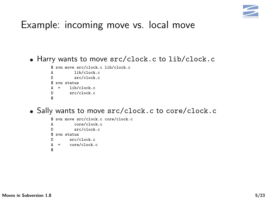

Harry wants to move src/clock.c to lib/clock.c

```
$ svn move src/clock.c lib/clock.c
A lib/clock.c<br>D src/clock.c
          src/clock.c
$ svn status
        lib/clock.c
D src/clock.c
$
```
Sally wants to move src/clock.c to core/clock.c

```
$ svn move src/clock.c core/clock.c
          core/clock.c
D src/clock.c
$ svn status
D src/clock.c<br>A + core/clock.
      core/clock.c
$
```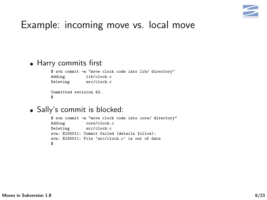

#### Harry commits first

\$ svn commit -m "move clock code into lib/ directory" lib/clock.c<br>src/clock.c Deleting Committed revision 42. \$

• Sally's commit is blocked:

```
$ svn commit -m "move clock code into core/ directory"
Adding core/clock.c<br>Deleting src/clock.c
                src/clock.c
svn: E155011: Commit failed (details follow):
svn: E155011: File 'src/clock.c' is out of date
$
```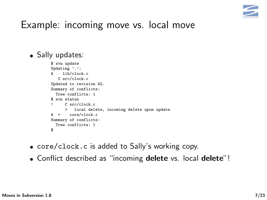

• Sally updates:

```
$ svn update
Updating '.':<br>A lib/cloc
     A lib/clock.c
   C src/clock.c
Updated to revision 42.
Summary of conflicts:
  Tree conflicts: 1
$ svn status
      C src/clock.c
      > local delete, incoming delete upon update
A + core/clock.c
Summary of conflicts:
  Tree conflicts: 1
$
```
- core/clock.c is added to Sally's working copy.
- Conflict described as "incoming delete vs. local delete"!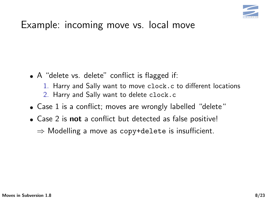

- A "delete vs. delete" conflict is flagged if:
	- 1. Harry and Sally want to move clock.c to different locations
	- 2. Harry and Sally want to delete clock.c
- Case 1 is a conflict; moves are wrongly labelled "delete"
- Case 2 is **not** a conflict but detected as false positive!  $\Rightarrow$  Modelling a move as copy+delete is insufficient.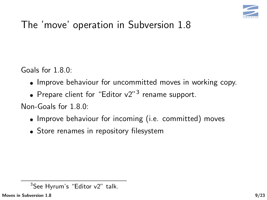

Goals for 1.8.0:

- Improve behaviour for uncommitted moves in working copy.
- Prepare client for "Editor  $v2"$ <sup>3</sup> rename support.

Non-Goals for 1.8.0:

- Improve behaviour for incoming (i.e. committed) moves
- Store renames in repository filesystem

 $3$ See Hyrum's "Editor v2" talk.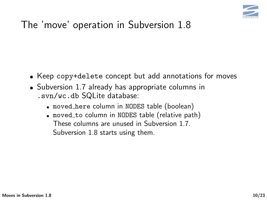

- Keep copy+delete concept but add annotations for moves
- Subversion 1.7 already has appropriate columns in .svn/wc.db SQLite database:
	- moved here column in NODES table (boolean)
	- moved to column in NODES table (relative path) These columns are unused in Subversion 1.7. Subversion 1.8 starts using them.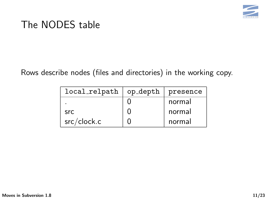

#### The NODES table

Rows describe nodes (files and directories) in the working copy.

| local_relpath | op_depth | presence |
|---------------|----------|----------|
| ۰             |          | normal   |
| src.          |          | normal   |
| src/clock.c   |          | normal   |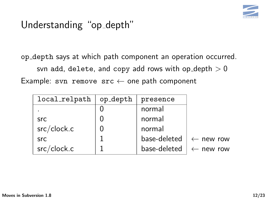

## Understanding "op\_depth"

op depth says at which path component an operation occurred. svn add, delete, and copy add rows with op depth  $>0$ Example: svn remove src  $\leftarrow$  one path component

| local_relpath | op_depth | presence     |                      |
|---------------|----------|--------------|----------------------|
|               |          | normal       |                      |
| <b>SrC</b>    |          | normal       |                      |
| src/clock.c   |          | normal       |                      |
| <b>SrC</b>    |          | base-deleted | $\leftarrow$ new row |
| src/clock.c   |          | base-deleted | $\leftarrow$ new row |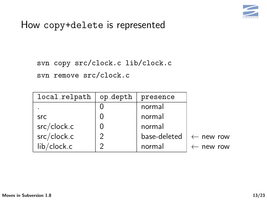

#### How copy+delete is represented

svn copy src/clock.c lib/clock.c svn remove src/clock.c

| local_relpath | op_depth      | presence     |                      |
|---------------|---------------|--------------|----------------------|
|               |               | normal       |                      |
| <b>SrC</b>    |               | normal       |                      |
| src/clock.c   |               | normal       |                      |
| src/clock.c   | $\mathcal{P}$ | base-deleted | $\leftarrow$ new row |
| lib/clock.c   | ာ             | normal       | $\leftarrow$ new row |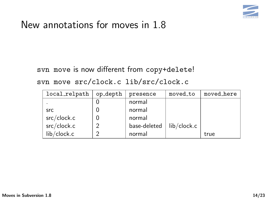

#### New annotations for moves in 1.8

svn move is now different from copy+delete!

svn move src/clock.c lib/src/clock.c

| local_relpath | op_depth | presence     | moved_to    | moved_here |
|---------------|----------|--------------|-------------|------------|
|               |          | normal       |             |            |
| <b>SrC</b>    |          | normal       |             |            |
| src/clock.c   |          | normal       |             |            |
| src/clock.c   |          | base-deleted | lib/clock.c |            |
| lib/clock.c   |          | normal       |             | true       |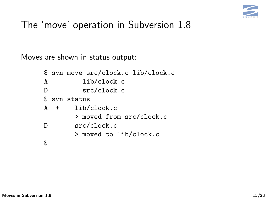

Moves are shown in status output:

|              |     | \$ svn move src/clock.c lib/clock.c |
|--------------|-----|-------------------------------------|
| A            |     | lib/clock.c                         |
| D            |     | src/clock.c                         |
| $$\tilde{}}$ |     | syn status                          |
| A            | $+$ | lib/clock.c                         |
|              |     | > moved from src/clock.c            |
| D            |     | src/clock.c                         |
|              |     | > moved to lib/clock.c              |
|              |     |                                     |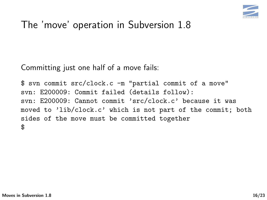

Committing just one half of a move fails:

\$ svn commit src/clock.c -m "partial commit of a move" svn: E200009: Commit failed (details follow): svn: E200009: Cannot commit 'src/clock.c' because it was moved to 'lib/clock.c' which is not part of the commit; both sides of the move must be committed together \$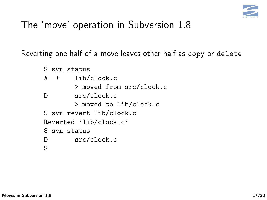

Reverting one half of a move leaves other half as copy or delete

```
$ svn status
A + lib/clock.c
       > moved from src/clock.c
D src/clock.c
       > moved to lib/clock.c
$ svn revert lib/clock.c
Reverted 'lib/clock.c'
$ svn status
D src/clock.c
$
```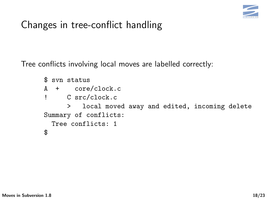

## Changes in tree-conflict handling

Tree conflicts involving local moves are labelled correctly:

```
$ svn status
A + core/clock.c
! C src/clock.c
     > local moved away and edited, incoming delete
Summary of conflicts:
 Tree conflicts: 1
$
```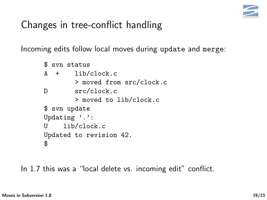

## Changes in tree-conflict handling

Incoming edits follow local moves during update and merge:

```
$ svn status
A + lib/clock.c
       > moved from src/clock.c
D src/clock.c
       > moved to lib/clock.c
$ svn update
Updating '.':
U lib/clock.c
Updated to revision 42.
$
```
In 1.7 this was a "local delete vs. incoming edit" conflict.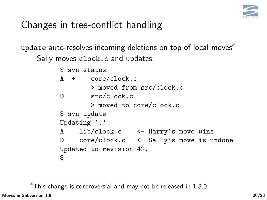

## Changes in tree-conflict handling

update auto-resolves incoming deletions on top of local moves<sup>4</sup> Sally moves clock.c and updates:

|                          |               | \$ syn status                            |  |  |  |  |  |
|--------------------------|---------------|------------------------------------------|--|--|--|--|--|
|                          |               | $A + core/clock.c$                       |  |  |  |  |  |
|                          |               | > moved from src/clock.c                 |  |  |  |  |  |
| D                        |               | src/clock.c                              |  |  |  |  |  |
|                          |               | > moved to core/clock.c                  |  |  |  |  |  |
|                          | \$ svn update |                                          |  |  |  |  |  |
| Updating $\cdot \cdot$ : |               |                                          |  |  |  |  |  |
|                          |               | A lib/clock.c <- Harry's move wins       |  |  |  |  |  |
|                          |               | D core/clock.c <- Sally's move is undone |  |  |  |  |  |
|                          |               | Updated to revision 42.                  |  |  |  |  |  |
| \$                       |               |                                          |  |  |  |  |  |

<sup>4</sup>This change is controversial and may not be released in 1.8.0 [Moves in Subversion 1.8](#page-0-0) 20/23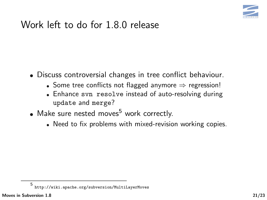

#### Work left to do for 1.8.0 release

- Discuss controversial changes in tree conflict behaviour.
	- Some tree conflicts not flagged anymore  $\Rightarrow$  regression!
	- Enhance svn resolve instead of auto-resolving during update and merge?
- $\bullet$  Make sure nested moves<sup>5</sup> work correctly.
	- Need to fix problems with mixed-revision working copies.

<sup>5</sup> <http://wiki.apache.org/subversion/MultiLayerMoves>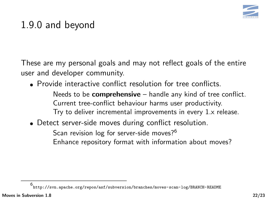

## 1.9.0 and beyond

These are my personal goals and may not reflect goals of the entire user and developer community.

Provide interactive conflict resolution for tree conflicts.

Needs to be **comprehensive**  $-$  handle any kind of tree conflict. Current tree-conflict behaviour harms user productivity. Try to deliver incremental improvements in every 1.x release.

Detect server-side moves during conflict resolution.

Scan revision log for server-side moves?<sup>6</sup> Enhance repository format with information about moves?

6 <http://svn.apache.org/repos/asf/subversion/branches/moves-scan-log/BRANCH-README>